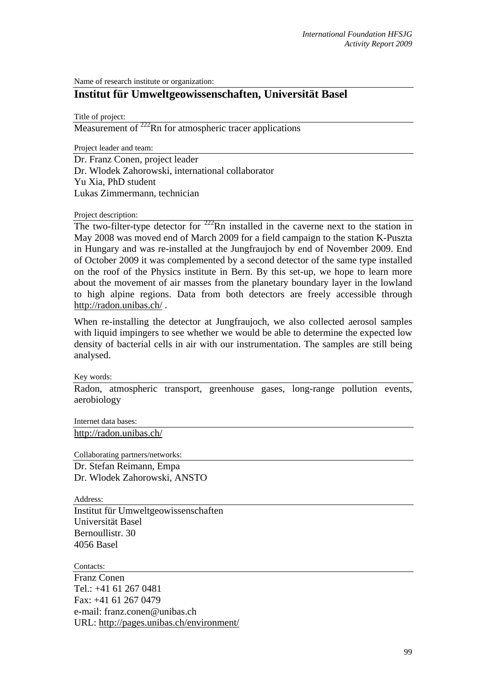Name of research institute or organization:

## **Institut für Umweltgeowissenschaften, Universität Basel**

Title of project:

Measurement of  $^{222}$ Rn for atmospheric tracer applications

Project leader and team:

Dr. Franz Conen, project leader Dr. Wlodek Zahorowski, international collaborator Yu Xia, PhD student Lukas Zimmermann, technician

Project description:

The two-filter-type detector for  $222$ Rn installed in the caverne next to the station in May 2008 was moved end of March 2009 for a field campaign to the station K-Puszta in Hungary and was re-installed at the Jungfraujoch by end of November 2009. End of October 2009 it was complemented by a second detector of the same type installed on the roof of the Physics institute in Bern. By this set-up, we hope to learn more about the movement of air masses from the planetary boundary layer in the lowland to high alpine regions. Data from both detectors are freely accessible through http://radon.unibas.ch/ .

When re-installing the detector at Jungfraujoch, we also collected aerosol samples with liquid impingers to see whether we would be able to determine the expected low density of bacterial cells in air with our instrumentation. The samples are still being analysed.

Key words:

Radon, atmospheric transport, greenhouse gases, long-range pollution events, aerobiology

Internet data bases:

http://radon.unibas.ch/

Collaborating partners/networks:

Dr. Stefan Reimann, Empa Dr. Wlodek Zahorowski, ANSTO

Address:

Institut für Umweltgeowissenschaften Universität Basel Bernoullistr. 30 4056 Basel

Contacts:

Franz Conen Tel.: +41 61 267 0481 Fax: +41 61 267 0479 e-mail: franz.conen@unibas.ch URL: http://pages.unibas.ch/environment/